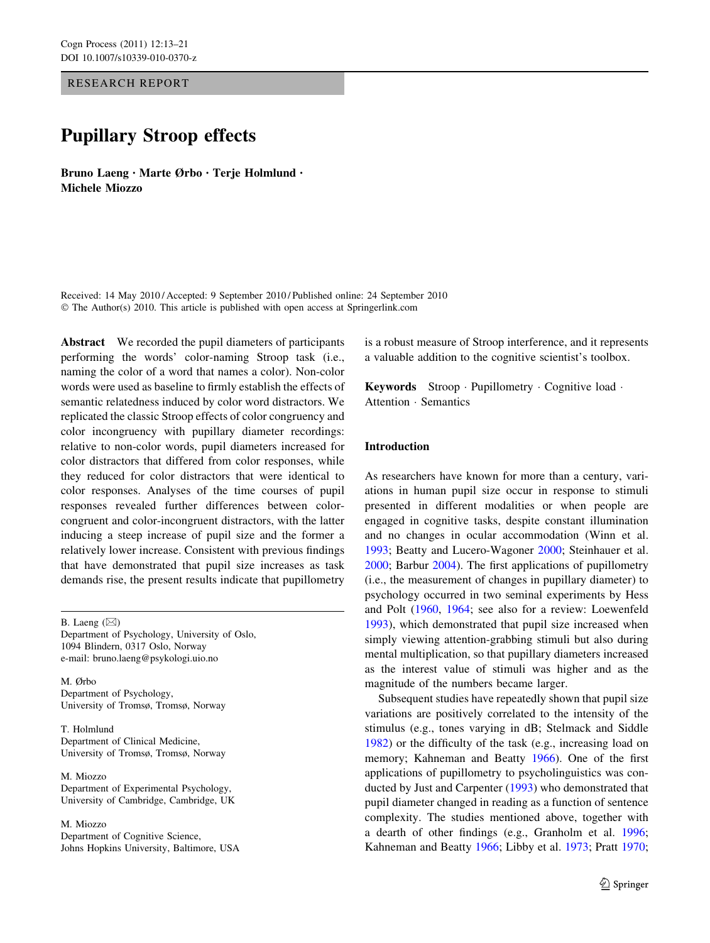RESEARCH REPORT

# Pupillary Stroop effects

Bruno Laeng • Marte Ørbo • Terje Holmlund • Michele Miozzo

Received: 14 May 2010 / Accepted: 9 September 2010 / Published online: 24 September 2010 © The Author(s) 2010. This article is published with open access at Springerlink.com

Abstract We recorded the pupil diameters of participants performing the words' color-naming Stroop task (i.e., naming the color of a word that names a color). Non-color words were used as baseline to firmly establish the effects of semantic relatedness induced by color word distractors. We replicated the classic Stroop effects of color congruency and color incongruency with pupillary diameter recordings: relative to non-color words, pupil diameters increased for color distractors that differed from color responses, while they reduced for color distractors that were identical to color responses. Analyses of the time courses of pupil responses revealed further differences between colorcongruent and color-incongruent distractors, with the latter inducing a steep increase of pupil size and the former a relatively lower increase. Consistent with previous findings that have demonstrated that pupil size increases as task demands rise, the present results indicate that pupillometry

B. Laeng  $(\boxtimes)$ 

Department of Psychology, University of Oslo, 1094 Blindern, 0317 Oslo, Norway e-mail: bruno.laeng@psykologi.uio.no

M. Ørbo Department of Psychology, University of Tromsø, Tromsø, Norway

T. Holmlund Department of Clinical Medicine, University of Tromsø, Tromsø, Norway

M. Miozzo Department of Experimental Psychology, University of Cambridge, Cambridge, UK

M. Miozzo Department of Cognitive Science, Johns Hopkins University, Baltimore, USA is a robust measure of Stroop interference, and it represents a valuable addition to the cognitive scientist's toolbox.

Keywords Stroop · Pupillometry · Cognitive load · Attention - Semantics

# Introduction

As researchers have known for more than a century, variations in human pupil size occur in response to stimuli presented in different modalities or when people are engaged in cognitive tasks, despite constant illumination and no changes in ocular accommodation (Winn et al. [1993](#page-8-0); Beatty and Lucero-Wagoner [2000](#page-7-0); Steinhauer et al. [2000](#page-8-0); Barbur [2004\)](#page-6-0). The first applications of pupillometry (i.e., the measurement of changes in pupillary diameter) to psychology occurred in two seminal experiments by Hess and Polt [\(1960,](#page-7-0) [1964](#page-7-0); see also for a review: Loewenfeld [1993](#page-7-0)), which demonstrated that pupil size increased when simply viewing attention-grabbing stimuli but also during mental multiplication, so that pupillary diameters increased as the interest value of stimuli was higher and as the magnitude of the numbers became larger.

Subsequent studies have repeatedly shown that pupil size variations are positively correlated to the intensity of the stimulus (e.g., tones varying in dB; Stelmack and Siddle [1982](#page-8-0)) or the difficulty of the task (e.g., increasing load on memory; Kahneman and Beatty [1966](#page-7-0)). One of the first applications of pupillometry to psycholinguistics was conducted by Just and Carpenter ([1993\)](#page-7-0) who demonstrated that pupil diameter changed in reading as a function of sentence complexity. The studies mentioned above, together with a dearth of other findings (e.g., Granholm et al. [1996](#page-7-0); Kahneman and Beatty [1966;](#page-7-0) Libby et al. [1973](#page-7-0); Pratt [1970](#page-7-0);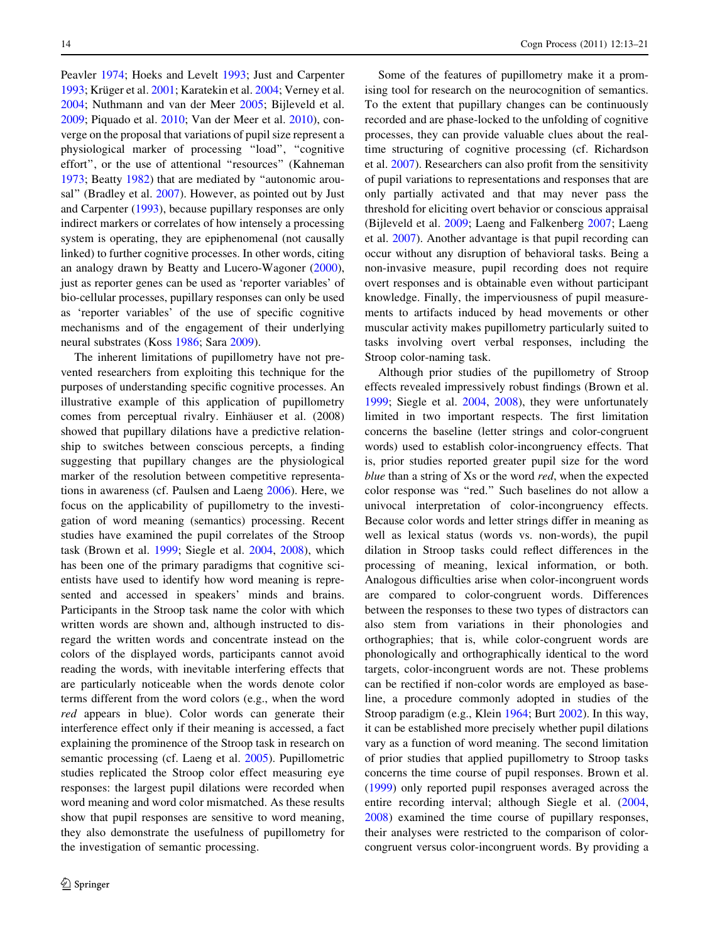Peavler [1974](#page-7-0); Hoeks and Levelt [1993;](#page-7-0) Just and Carpenter [1993;](#page-7-0) Krüger et al. [2001;](#page-7-0) Karatekin et al. [2004](#page-7-0); Verney et al. [2004;](#page-8-0) Nuthmann and van der Meer [2005](#page-7-0); Bijleveld et al. [2009;](#page-7-0) Piquado et al. [2010](#page-7-0); Van der Meer et al. [2010\)](#page-8-0), converge on the proposal that variations of pupil size represent a physiological marker of processing ''load'', ''cognitive effort'', or the use of attentional ''resources'' (Kahneman [1973;](#page-7-0) Beatty [1982\)](#page-6-0) that are mediated by ''autonomic arou-sal" (Bradley et al. [2007\)](#page-7-0). However, as pointed out by Just and Carpenter ([1993\)](#page-7-0), because pupillary responses are only indirect markers or correlates of how intensely a processing system is operating, they are epiphenomenal (not causally linked) to further cognitive processes. In other words, citing an analogy drawn by Beatty and Lucero-Wagoner [\(2000](#page-7-0)), just as reporter genes can be used as 'reporter variables' of bio-cellular processes, pupillary responses can only be used as 'reporter variables' of the use of specific cognitive mechanisms and of the engagement of their underlying neural substrates (Koss [1986](#page-7-0); Sara [2009](#page-8-0)).

The inherent limitations of pupillometry have not prevented researchers from exploiting this technique for the purposes of understanding specific cognitive processes. An illustrative example of this application of pupillometry comes from perceptual rivalry. Einhäuser et al. (2008) showed that pupillary dilations have a predictive relationship to switches between conscious percepts, a finding suggesting that pupillary changes are the physiological marker of the resolution between competitive representations in awareness (cf. Paulsen and Laeng [2006\)](#page-7-0). Here, we focus on the applicability of pupillometry to the investigation of word meaning (semantics) processing. Recent studies have examined the pupil correlates of the Stroop task (Brown et al. [1999](#page-7-0); Siegle et al. [2004](#page-8-0), [2008](#page-8-0)), which has been one of the primary paradigms that cognitive scientists have used to identify how word meaning is represented and accessed in speakers' minds and brains. Participants in the Stroop task name the color with which written words are shown and, although instructed to disregard the written words and concentrate instead on the colors of the displayed words, participants cannot avoid reading the words, with inevitable interfering effects that are particularly noticeable when the words denote color terms different from the word colors (e.g., when the word red appears in blue). Color words can generate their interference effect only if their meaning is accessed, a fact explaining the prominence of the Stroop task in research on semantic processing (cf. Laeng et al. [2005](#page-7-0)). Pupillometric studies replicated the Stroop color effect measuring eye responses: the largest pupil dilations were recorded when word meaning and word color mismatched. As these results show that pupil responses are sensitive to word meaning, they also demonstrate the usefulness of pupillometry for the investigation of semantic processing.

Some of the features of pupillometry make it a promising tool for research on the neurocognition of semantics. To the extent that pupillary changes can be continuously recorded and are phase-locked to the unfolding of cognitive processes, they can provide valuable clues about the realtime structuring of cognitive processing (cf. Richardson et al. [2007](#page-7-0)). Researchers can also profit from the sensitivity of pupil variations to representations and responses that are only partially activated and that may never pass the threshold for eliciting overt behavior or conscious appraisal (Bijleveld et al. [2009;](#page-7-0) Laeng and Falkenberg [2007](#page-7-0); Laeng et al. [2007](#page-7-0)). Another advantage is that pupil recording can occur without any disruption of behavioral tasks. Being a non-invasive measure, pupil recording does not require overt responses and is obtainable even without participant knowledge. Finally, the imperviousness of pupil measurements to artifacts induced by head movements or other muscular activity makes pupillometry particularly suited to tasks involving overt verbal responses, including the Stroop color-naming task.

Although prior studies of the pupillometry of Stroop effects revealed impressively robust findings (Brown et al. [1999](#page-7-0); Siegle et al. [2004](#page-8-0), [2008\)](#page-8-0), they were unfortunately limited in two important respects. The first limitation concerns the baseline (letter strings and color-congruent words) used to establish color-incongruency effects. That is, prior studies reported greater pupil size for the word blue than a string of Xs or the word *red*, when the expected color response was ''red.'' Such baselines do not allow a univocal interpretation of color-incongruency effects. Because color words and letter strings differ in meaning as well as lexical status (words vs. non-words), the pupil dilation in Stroop tasks could reflect differences in the processing of meaning, lexical information, or both. Analogous difficulties arise when color-incongruent words are compared to color-congruent words. Differences between the responses to these two types of distractors can also stem from variations in their phonologies and orthographies; that is, while color-congruent words are phonologically and orthographically identical to the word targets, color-incongruent words are not. These problems can be rectified if non-color words are employed as baseline, a procedure commonly adopted in studies of the Stroop paradigm (e.g., Klein [1964](#page-7-0); Burt [2002\)](#page-7-0). In this way, it can be established more precisely whether pupil dilations vary as a function of word meaning. The second limitation of prior studies that applied pupillometry to Stroop tasks concerns the time course of pupil responses. Brown et al. [\(1999](#page-7-0)) only reported pupil responses averaged across the entire recording interval; although Siegle et al. ([2004,](#page-8-0) [2008](#page-8-0)) examined the time course of pupillary responses, their analyses were restricted to the comparison of colorcongruent versus color-incongruent words. By providing a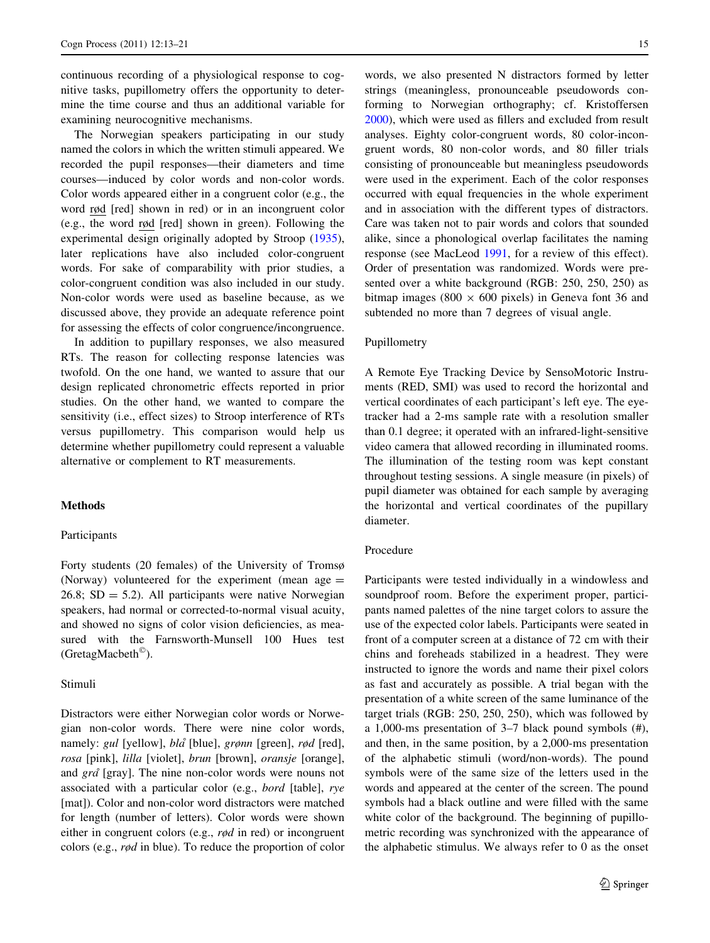continuous recording of a physiological response to cognitive tasks, pupillometry offers the opportunity to determine the time course and thus an additional variable for examining neurocognitive mechanisms.

The Norwegian speakers participating in our study named the colors in which the written stimuli appeared. We recorded the pupil responses—their diameters and time courses—induced by color words and non-color words. Color words appeared either in a congruent color (e.g., the word rød [red] shown in red) or in an incongruent color (e.g., the word rød [red] shown in green). Following the experimental design originally adopted by Stroop [\(1935](#page-8-0)), later replications have also included color-congruent words. For sake of comparability with prior studies, a color-congruent condition was also included in our study. Non-color words were used as baseline because, as we discussed above, they provide an adequate reference point for assessing the effects of color congruence/incongruence.

In addition to pupillary responses, we also measured RTs. The reason for collecting response latencies was twofold. On the one hand, we wanted to assure that our design replicated chronometric effects reported in prior studies. On the other hand, we wanted to compare the sensitivity (i.e., effect sizes) to Stroop interference of RTs versus pupillometry. This comparison would help us determine whether pupillometry could represent a valuable alternative or complement to RT measurements.

# Methods

#### Participants

Forty students (20 females) of the University of Tromsø (Norway) volunteered for the experiment (mean age  $=$ 26.8;  $SD = 5.2$ ). All participants were native Norwegian speakers, had normal or corrected-to-normal visual acuity, and showed no signs of color vision deficiencies, as measured with the Farnsworth-Munsell 100 Hues test (GretagMacbeth<sup>©</sup>).

# Stimuli

Distractors were either Norwegian color words or Norwegian non-color words. There were nine color words, namely: *gul* [yellow], *blå* [blue], *grønn* [green], *rød* [red], rosa [pink], lilla [violet], brun [brown], oransje [orange], and  $\gamma a^{\dagger}$  [gray]. The nine non-color words were nouns not associated with a particular color (e.g., bord [table], rye [mat]). Color and non-color word distractors were matched for length (number of letters). Color words were shown either in congruent colors (e.g., rød in red) or incongruent colors (e.g., rød in blue). To reduce the proportion of color

words, we also presented N distractors formed by letter strings (meaningless, pronounceable pseudowords conforming to Norwegian orthography; cf. Kristoffersen [2000](#page-7-0)), which were used as fillers and excluded from result analyses. Eighty color-congruent words, 80 color-incongruent words, 80 non-color words, and 80 filler trials consisting of pronounceable but meaningless pseudowords were used in the experiment. Each of the color responses occurred with equal frequencies in the whole experiment and in association with the different types of distractors. Care was taken not to pair words and colors that sounded alike, since a phonological overlap facilitates the naming response (see MacLeod [1991,](#page-7-0) for a review of this effect). Order of presentation was randomized. Words were presented over a white background (RGB: 250, 250, 250) as bitmap images (800  $\times$  600 pixels) in Geneva font 36 and subtended no more than 7 degrees of visual angle.

## Pupillometry

A Remote Eye Tracking Device by SensoMotoric Instruments (RED, SMI) was used to record the horizontal and vertical coordinates of each participant's left eye. The eyetracker had a 2-ms sample rate with a resolution smaller than 0.1 degree; it operated with an infrared-light-sensitive video camera that allowed recording in illuminated rooms. The illumination of the testing room was kept constant throughout testing sessions. A single measure (in pixels) of pupil diameter was obtained for each sample by averaging the horizontal and vertical coordinates of the pupillary diameter.

# Procedure

Participants were tested individually in a windowless and soundproof room. Before the experiment proper, participants named palettes of the nine target colors to assure the use of the expected color labels. Participants were seated in front of a computer screen at a distance of 72 cm with their chins and foreheads stabilized in a headrest. They were instructed to ignore the words and name their pixel colors as fast and accurately as possible. A trial began with the presentation of a white screen of the same luminance of the target trials (RGB: 250, 250, 250), which was followed by a 1,000-ms presentation of 3–7 black pound symbols (#), and then, in the same position, by a 2,000-ms presentation of the alphabetic stimuli (word/non-words). The pound symbols were of the same size of the letters used in the words and appeared at the center of the screen. The pound symbols had a black outline and were filled with the same white color of the background. The beginning of pupillometric recording was synchronized with the appearance of the alphabetic stimulus. We always refer to 0 as the onset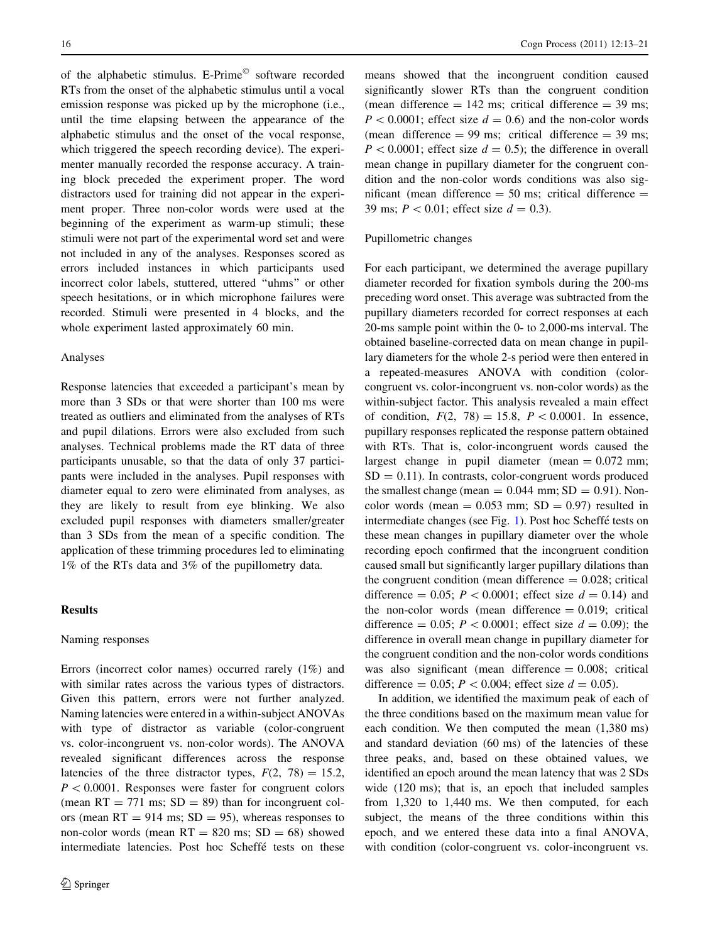of the alphabetic stimulus. E-Prime<sup>©</sup> software recorded RTs from the onset of the alphabetic stimulus until a vocal emission response was picked up by the microphone (i.e., until the time elapsing between the appearance of the alphabetic stimulus and the onset of the vocal response, which triggered the speech recording device). The experimenter manually recorded the response accuracy. A training block preceded the experiment proper. The word distractors used for training did not appear in the experiment proper. Three non-color words were used at the beginning of the experiment as warm-up stimuli; these stimuli were not part of the experimental word set and were not included in any of the analyses. Responses scored as errors included instances in which participants used incorrect color labels, stuttered, uttered ''uhms'' or other speech hesitations, or in which microphone failures were recorded. Stimuli were presented in 4 blocks, and the whole experiment lasted approximately 60 min.

## Analyses

Response latencies that exceeded a participant's mean by more than 3 SDs or that were shorter than 100 ms were treated as outliers and eliminated from the analyses of RTs and pupil dilations. Errors were also excluded from such analyses. Technical problems made the RT data of three participants unusable, so that the data of only 37 participants were included in the analyses. Pupil responses with diameter equal to zero were eliminated from analyses, as they are likely to result from eye blinking. We also excluded pupil responses with diameters smaller/greater than 3 SDs from the mean of a specific condition. The application of these trimming procedures led to eliminating 1% of the RTs data and 3% of the pupillometry data.

# **Results**

#### Naming responses

Errors (incorrect color names) occurred rarely (1%) and with similar rates across the various types of distractors. Given this pattern, errors were not further analyzed. Naming latencies were entered in a within-subject ANOVAs with type of distractor as variable (color-congruent vs. color-incongruent vs. non-color words). The ANOVA revealed significant differences across the response latencies of the three distractor types,  $F(2, 78) = 15.2$ ,  $P < 0.0001$ . Responses were faster for congruent colors (mean  $RT = 771$  ms;  $SD = 89$ ) than for incongruent colors (mean  $RT = 914$  ms;  $SD = 95$ ), whereas responses to non-color words (mean  $RT = 820$  ms;  $SD = 68$ ) showed intermediate latencies. Post hoc Scheffé tests on these

means showed that the incongruent condition caused significantly slower RTs than the congruent condition (mean difference  $= 142$  ms; critical difference  $= 39$  ms;  $P < 0.0001$ ; effect size  $d = 0.6$ ) and the non-color words (mean difference  $= 99$  ms; critical difference  $= 39$  ms;  $P < 0.0001$ ; effect size  $d = 0.5$ ); the difference in overall mean change in pupillary diameter for the congruent condition and the non-color words conditions was also significant (mean difference  $= 50$  ms; critical difference  $=$ 39 ms;  $P < 0.01$ ; effect size  $d = 0.3$ ).

## Pupillometric changes

For each participant, we determined the average pupillary diameter recorded for fixation symbols during the 200-ms preceding word onset. This average was subtracted from the pupillary diameters recorded for correct responses at each 20-ms sample point within the 0- to 2,000-ms interval. The obtained baseline-corrected data on mean change in pupillary diameters for the whole 2-s period were then entered in a repeated-measures ANOVA with condition (colorcongruent vs. color-incongruent vs. non-color words) as the within-subject factor. This analysis revealed a main effect of condition,  $F(2, 78) = 15.8$ ,  $P \lt 0.0001$ . In essence, pupillary responses replicated the response pattern obtained with RTs. That is, color-incongruent words caused the largest change in pupil diameter (mean  $= 0.072$  mm;  $SD = 0.11$ ). In contrasts, color-congruent words produced the smallest change (mean  $= 0.044$  mm;  $SD = 0.91$ ). Noncolor words (mean  $= 0.053$  mm; SD  $= 0.97$ ) resulted in intermediate changes (see Fig. [1](#page-4-0)). Post hoc Scheffé tests on these mean changes in pupillary diameter over the whole recording epoch confirmed that the incongruent condition caused small but significantly larger pupillary dilations than the congruent condition (mean difference  $= 0.028$ ; critical difference = 0.05;  $P \lt 0.0001$ ; effect size  $d = 0.14$ ) and the non-color words (mean difference  $= 0.019$ ; critical difference = 0.05;  $P \lt 0.0001$ ; effect size  $d = 0.09$ ); the difference in overall mean change in pupillary diameter for the congruent condition and the non-color words conditions was also significant (mean difference  $= 0.008$ ; critical difference = 0.05;  $P < 0.004$ ; effect size  $d = 0.05$ ).

In addition, we identified the maximum peak of each of the three conditions based on the maximum mean value for each condition. We then computed the mean (1,380 ms) and standard deviation (60 ms) of the latencies of these three peaks, and, based on these obtained values, we identified an epoch around the mean latency that was 2 SDs wide (120 ms); that is, an epoch that included samples from 1,320 to 1,440 ms. We then computed, for each subject, the means of the three conditions within this epoch, and we entered these data into a final ANOVA, with condition (color-congruent vs. color-incongruent vs.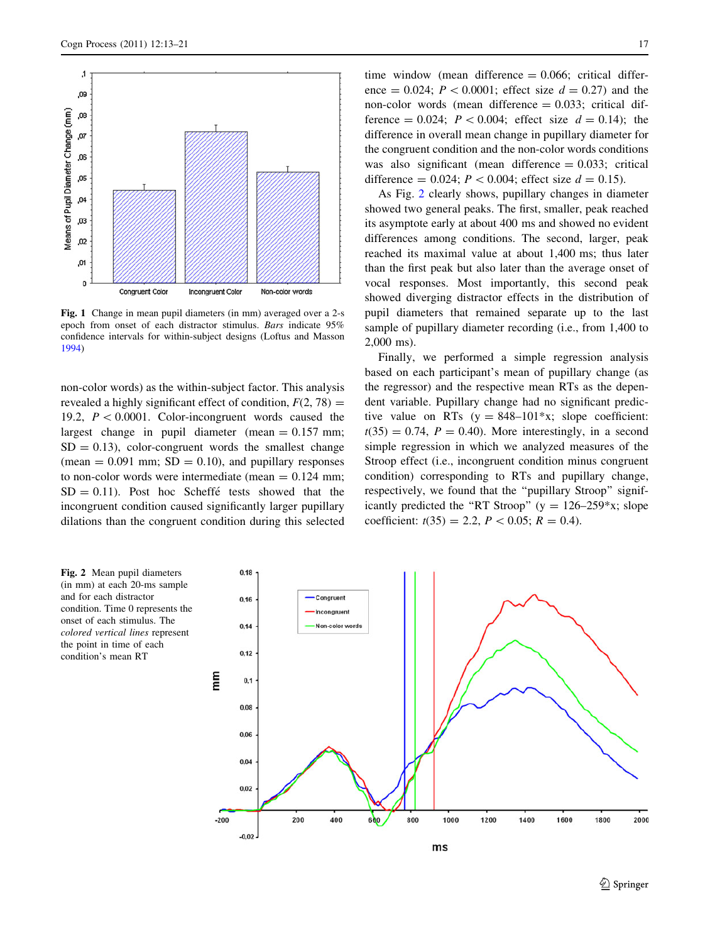<span id="page-4-0"></span>

Fig. 1 Change in mean pupil diameters (in mm) averaged over a 2-s epoch from onset of each distractor stimulus. Bars indicate 95% confidence intervals for within-subject designs (Loftus and Masson [1994\)](#page-7-0)

non-color words) as the within-subject factor. This analysis revealed a highly significant effect of condition,  $F(2, 78) =$ 19.2,  $P < 0.0001$ . Color-incongruent words caused the largest change in pupil diameter (mean  $= 0.157$  mm;  $SD = 0.13$ , color-congruent words the smallest change (mean  $= 0.091$  mm;  $SD = 0.10$ ), and pupillary responses to non-color words were intermediate (mean  $= 0.124$  mm;  $SD = 0.11$ ). Post hoc Scheffe<sup> $\epsilon$ </sup> tests showed that the incongruent condition caused significantly larger pupillary dilations than the congruent condition during this selected time window (mean difference  $= 0.066$ ; critical difference = 0.024;  $P \le 0.0001$ ; effect size  $d = 0.27$ ) and the non-color words (mean difference  $= 0.033$ ; critical difference = 0.024;  $P < 0.004$ ; effect size  $d = 0.14$ ); the difference in overall mean change in pupillary diameter for the congruent condition and the non-color words conditions was also significant (mean difference  $= 0.033$ ; critical difference = 0.024;  $P < 0.004$ ; effect size  $d = 0.15$ ).

As Fig. 2 clearly shows, pupillary changes in diameter showed two general peaks. The first, smaller, peak reached its asymptote early at about 400 ms and showed no evident differences among conditions. The second, larger, peak reached its maximal value at about 1,400 ms; thus later than the first peak but also later than the average onset of vocal responses. Most importantly, this second peak showed diverging distractor effects in the distribution of pupil diameters that remained separate up to the last sample of pupillary diameter recording (i.e., from 1,400 to 2,000 ms).

Finally, we performed a simple regression analysis based on each participant's mean of pupillary change (as the regressor) and the respective mean RTs as the dependent variable. Pupillary change had no significant predictive value on RTs  $(y = 848-101*x)$ ; slope coefficient:  $t(35) = 0.74$ ,  $P = 0.40$ ). More interestingly, in a second simple regression in which we analyzed measures of the Stroop effect (i.e., incongruent condition minus congruent condition) corresponding to RTs and pupillary change, respectively, we found that the ''pupillary Stroop'' significantly predicted the "RT Stroop" ( $y = 126-259*x$ ; slope coefficient:  $t(35) = 2.2, P < 0.05; R = 0.4$ .

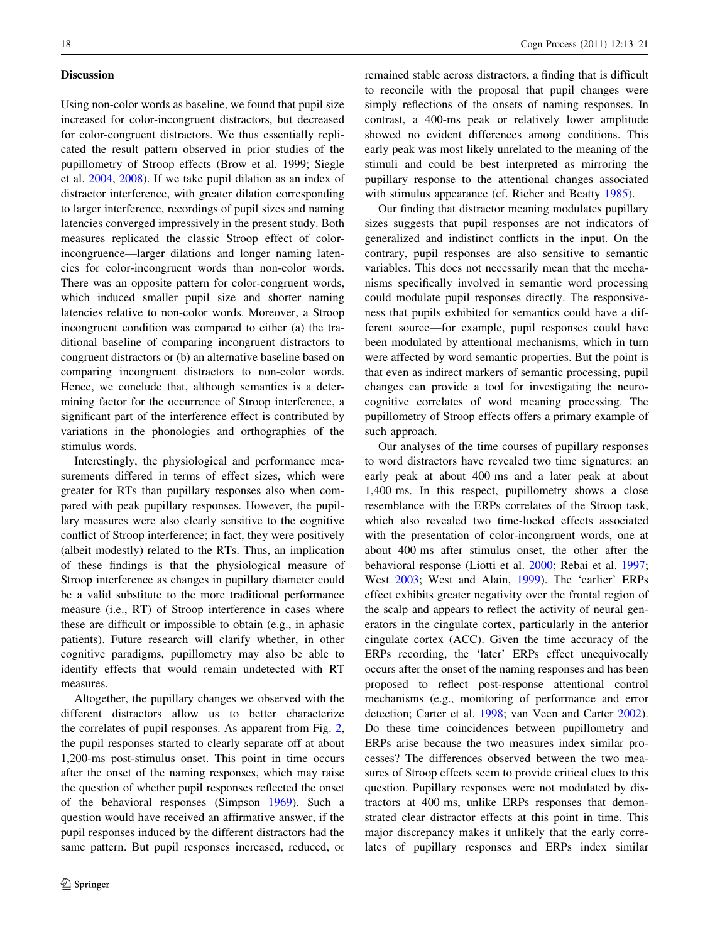## **Discussion**

Using non-color words as baseline, we found that pupil size increased for color-incongruent distractors, but decreased for color-congruent distractors. We thus essentially replicated the result pattern observed in prior studies of the pupillometry of Stroop effects (Brow et al. 1999; Siegle et al. [2004](#page-8-0), [2008](#page-8-0)). If we take pupil dilation as an index of distractor interference, with greater dilation corresponding to larger interference, recordings of pupil sizes and naming latencies converged impressively in the present study. Both measures replicated the classic Stroop effect of colorincongruence—larger dilations and longer naming latencies for color-incongruent words than non-color words. There was an opposite pattern for color-congruent words, which induced smaller pupil size and shorter naming latencies relative to non-color words. Moreover, a Stroop incongruent condition was compared to either (a) the traditional baseline of comparing incongruent distractors to congruent distractors or (b) an alternative baseline based on comparing incongruent distractors to non-color words. Hence, we conclude that, although semantics is a determining factor for the occurrence of Stroop interference, a significant part of the interference effect is contributed by variations in the phonologies and orthographies of the stimulus words.

Interestingly, the physiological and performance measurements differed in terms of effect sizes, which were greater for RTs than pupillary responses also when compared with peak pupillary responses. However, the pupillary measures were also clearly sensitive to the cognitive conflict of Stroop interference; in fact, they were positively (albeit modestly) related to the RTs. Thus, an implication of these findings is that the physiological measure of Stroop interference as changes in pupillary diameter could be a valid substitute to the more traditional performance measure (i.e., RT) of Stroop interference in cases where these are difficult or impossible to obtain (e.g., in aphasic patients). Future research will clarify whether, in other cognitive paradigms, pupillometry may also be able to identify effects that would remain undetected with RT measures.

Altogether, the pupillary changes we observed with the different distractors allow us to better characterize the correlates of pupil responses. As apparent from Fig. [2,](#page-4-0) the pupil responses started to clearly separate off at about 1,200-ms post-stimulus onset. This point in time occurs after the onset of the naming responses, which may raise the question of whether pupil responses reflected the onset of the behavioral responses (Simpson [1969](#page-8-0)). Such a question would have received an affirmative answer, if the pupil responses induced by the different distractors had the same pattern. But pupil responses increased, reduced, or remained stable across distractors, a finding that is difficult to reconcile with the proposal that pupil changes were simply reflections of the onsets of naming responses. In contrast, a 400-ms peak or relatively lower amplitude showed no evident differences among conditions. This early peak was most likely unrelated to the meaning of the stimuli and could be best interpreted as mirroring the pupillary response to the attentional changes associated with stimulus appearance (cf. Richer and Beatty [1985](#page-8-0)).

Our finding that distractor meaning modulates pupillary sizes suggests that pupil responses are not indicators of generalized and indistinct conflicts in the input. On the contrary, pupil responses are also sensitive to semantic variables. This does not necessarily mean that the mechanisms specifically involved in semantic word processing could modulate pupil responses directly. The responsiveness that pupils exhibited for semantics could have a different source—for example, pupil responses could have been modulated by attentional mechanisms, which in turn were affected by word semantic properties. But the point is that even as indirect markers of semantic processing, pupil changes can provide a tool for investigating the neurocognitive correlates of word meaning processing. The pupillometry of Stroop effects offers a primary example of such approach.

Our analyses of the time courses of pupillary responses to word distractors have revealed two time signatures: an early peak at about 400 ms and a later peak at about 1,400 ms. In this respect, pupillometry shows a close resemblance with the ERPs correlates of the Stroop task, which also revealed two time-locked effects associated with the presentation of color-incongruent words, one at about 400 ms after stimulus onset, the other after the behavioral response (Liotti et al. [2000;](#page-7-0) Rebai et al. [1997](#page-7-0); West [2003;](#page-8-0) West and Alain, [1999\)](#page-8-0). The 'earlier' ERPs effect exhibits greater negativity over the frontal region of the scalp and appears to reflect the activity of neural generators in the cingulate cortex, particularly in the anterior cingulate cortex (ACC). Given the time accuracy of the ERPs recording, the 'later' ERPs effect unequivocally occurs after the onset of the naming responses and has been proposed to reflect post-response attentional control mechanisms (e.g., monitoring of performance and error detection; Carter et al. [1998](#page-7-0); van Veen and Carter [2002](#page-8-0)). Do these time coincidences between pupillometry and ERPs arise because the two measures index similar processes? The differences observed between the two measures of Stroop effects seem to provide critical clues to this question. Pupillary responses were not modulated by distractors at 400 ms, unlike ERPs responses that demonstrated clear distractor effects at this point in time. This major discrepancy makes it unlikely that the early correlates of pupillary responses and ERPs index similar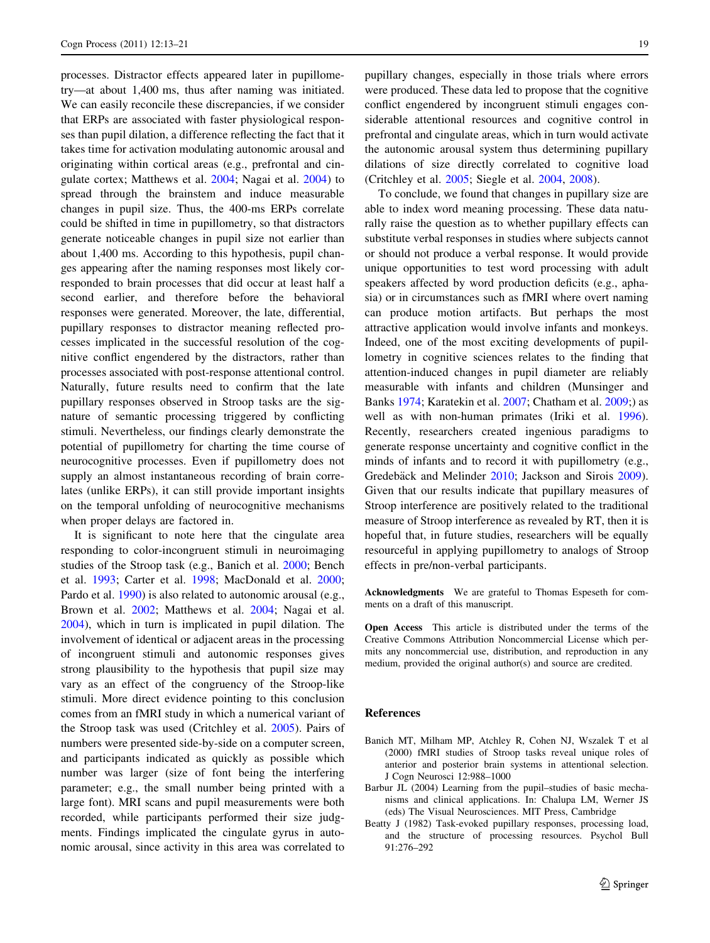<span id="page-6-0"></span>processes. Distractor effects appeared later in pupillometry—at about 1,400 ms, thus after naming was initiated. We can easily reconcile these discrepancies, if we consider that ERPs are associated with faster physiological responses than pupil dilation, a difference reflecting the fact that it takes time for activation modulating autonomic arousal and originating within cortical areas (e.g., prefrontal and cingulate cortex; Matthews et al. [2004](#page-7-0); Nagai et al. [2004\)](#page-7-0) to spread through the brainstem and induce measurable changes in pupil size. Thus, the 400-ms ERPs correlate could be shifted in time in pupillometry, so that distractors generate noticeable changes in pupil size not earlier than about 1,400 ms. According to this hypothesis, pupil changes appearing after the naming responses most likely corresponded to brain processes that did occur at least half a second earlier, and therefore before the behavioral responses were generated. Moreover, the late, differential, pupillary responses to distractor meaning reflected processes implicated in the successful resolution of the cognitive conflict engendered by the distractors, rather than processes associated with post-response attentional control. Naturally, future results need to confirm that the late pupillary responses observed in Stroop tasks are the signature of semantic processing triggered by conflicting stimuli. Nevertheless, our findings clearly demonstrate the potential of pupillometry for charting the time course of neurocognitive processes. Even if pupillometry does not supply an almost instantaneous recording of brain correlates (unlike ERPs), it can still provide important insights on the temporal unfolding of neurocognitive mechanisms when proper delays are factored in.

It is significant to note here that the cingulate area responding to color-incongruent stimuli in neuroimaging studies of the Stroop task (e.g., Banich et al. 2000; Bench et al. [1993](#page-7-0); Carter et al. [1998;](#page-7-0) MacDonald et al. [2000](#page-7-0); Pardo et al. [1990\)](#page-7-0) is also related to autonomic arousal (e.g., Brown et al. [2002](#page-7-0); Matthews et al. [2004](#page-7-0); Nagai et al. [2004\)](#page-7-0), which in turn is implicated in pupil dilation. The involvement of identical or adjacent areas in the processing of incongruent stimuli and autonomic responses gives strong plausibility to the hypothesis that pupil size may vary as an effect of the congruency of the Stroop-like stimuli. More direct evidence pointing to this conclusion comes from an fMRI study in which a numerical variant of the Stroop task was used (Critchley et al. [2005\)](#page-7-0). Pairs of numbers were presented side-by-side on a computer screen, and participants indicated as quickly as possible which number was larger (size of font being the interfering parameter; e.g., the small number being printed with a large font). MRI scans and pupil measurements were both recorded, while participants performed their size judgments. Findings implicated the cingulate gyrus in autonomic arousal, since activity in this area was correlated to

pupillary changes, especially in those trials where errors were produced. These data led to propose that the cognitive conflict engendered by incongruent stimuli engages considerable attentional resources and cognitive control in prefrontal and cingulate areas, which in turn would activate the autonomic arousal system thus determining pupillary dilations of size directly correlated to cognitive load (Critchley et al. [2005;](#page-7-0) Siegle et al. [2004,](#page-8-0) [2008\)](#page-8-0).

To conclude, we found that changes in pupillary size are able to index word meaning processing. These data naturally raise the question as to whether pupillary effects can substitute verbal responses in studies where subjects cannot or should not produce a verbal response. It would provide unique opportunities to test word processing with adult speakers affected by word production deficits (e.g., aphasia) or in circumstances such as fMRI where overt naming can produce motion artifacts. But perhaps the most attractive application would involve infants and monkeys. Indeed, one of the most exciting developments of pupillometry in cognitive sciences relates to the finding that attention-induced changes in pupil diameter are reliably measurable with infants and children (Munsinger and Banks [1974](#page-7-0); Karatekin et al. [2007](#page-7-0); Chatham et al. [2009](#page-7-0);) as well as with non-human primates (Iriki et al. [1996](#page-7-0)). Recently, researchers created ingenious paradigms to generate response uncertainty and cognitive conflict in the minds of infants and to record it with pupillometry (e.g., Gredebäck and Melinder [2010;](#page-7-0) Jackson and Sirois [2009](#page-7-0)). Given that our results indicate that pupillary measures of Stroop interference are positively related to the traditional measure of Stroop interference as revealed by RT, then it is hopeful that, in future studies, researchers will be equally resourceful in applying pupillometry to analogs of Stroop effects in pre/non-verbal participants.

Acknowledgments We are grateful to Thomas Espeseth for comments on a draft of this manuscript.

Open Access This article is distributed under the terms of the Creative Commons Attribution Noncommercial License which permits any noncommercial use, distribution, and reproduction in any medium, provided the original author(s) and source are credited.

#### References

- Banich MT, Milham MP, Atchley R, Cohen NJ, Wszalek T et al (2000) fMRI studies of Stroop tasks reveal unique roles of anterior and posterior brain systems in attentional selection. J Cogn Neurosci 12:988–1000
- Barbur JL (2004) Learning from the pupil–studies of basic mechanisms and clinical applications. In: Chalupa LM, Werner JS (eds) The Visual Neurosciences. MIT Press, Cambridge
- Beatty J (1982) Task-evoked pupillary responses, processing load, and the structure of processing resources. Psychol Bull 91:276–292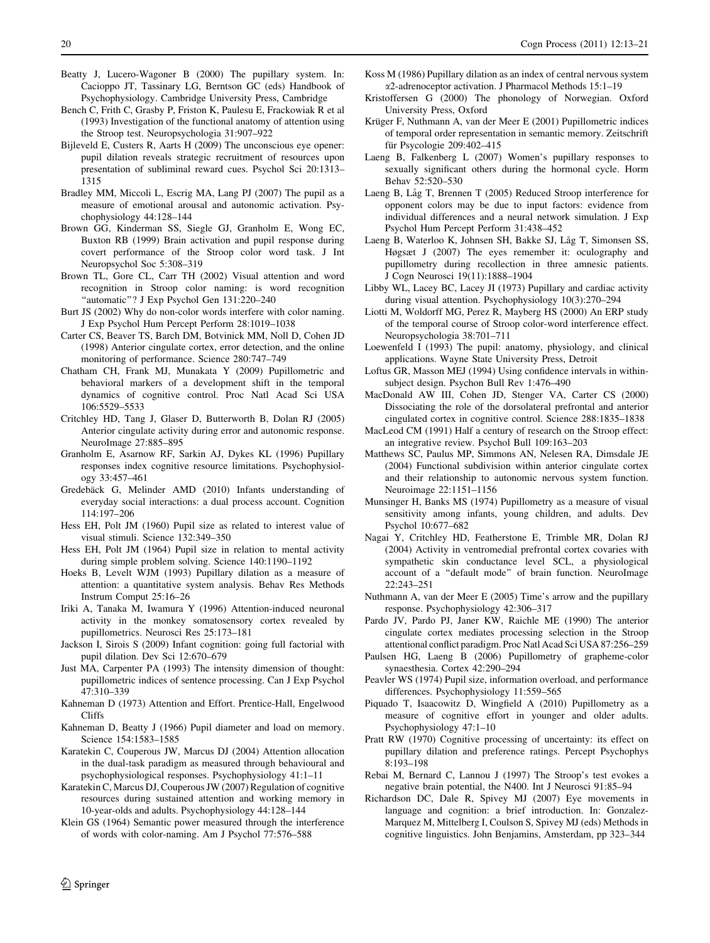- <span id="page-7-0"></span>Beatty J, Lucero-Wagoner B (2000) The pupillary system. In: Cacioppo JT, Tassinary LG, Berntson GC (eds) Handbook of Psychophysiology. Cambridge University Press, Cambridge
- Bench C, Frith C, Grasby P, Friston K, Paulesu E, Frackowiak R et al (1993) Investigation of the functional anatomy of attention using the Stroop test. Neuropsychologia 31:907–922
- Bijleveld E, Custers R, Aarts H (2009) The unconscious eye opener: pupil dilation reveals strategic recruitment of resources upon presentation of subliminal reward cues. Psychol Sci 20:1313– 1315
- Bradley MM, Miccoli L, Escrig MA, Lang PJ (2007) The pupil as a measure of emotional arousal and autonomic activation. Psychophysiology 44:128–144
- Brown GG, Kinderman SS, Siegle GJ, Granholm E, Wong EC, Buxton RB (1999) Brain activation and pupil response during covert performance of the Stroop color word task. J Int Neuropsychol Soc 5:308–319
- Brown TL, Gore CL, Carr TH (2002) Visual attention and word recognition in Stroop color naming: is word recognition "automatic"? J Exp Psychol Gen 131:220-240
- Burt JS (2002) Why do non-color words interfere with color naming. J Exp Psychol Hum Percept Perform 28:1019–1038
- Carter CS, Beaver TS, Barch DM, Botvinick MM, Noll D, Cohen JD (1998) Anterior cingulate cortex, error detection, and the online monitoring of performance. Science 280:747–749
- Chatham CH, Frank MJ, Munakata Y (2009) Pupillometric and behavioral markers of a development shift in the temporal dynamics of cognitive control. Proc Natl Acad Sci USA 106:5529–5533
- Critchley HD, Tang J, Glaser D, Butterworth B, Dolan RJ (2005) Anterior cingulate activity during error and autonomic response. NeuroImage 27:885–895
- Granholm E, Asarnow RF, Sarkin AJ, Dykes KL (1996) Pupillary responses index cognitive resource limitations. Psychophysiology 33:457–461
- Gredebäck G, Melinder AMD (2010) Infants understanding of everyday social interactions: a dual process account. Cognition 114:197–206
- Hess EH, Polt JM (1960) Pupil size as related to interest value of visual stimuli. Science 132:349–350
- Hess EH, Polt JM (1964) Pupil size in relation to mental activity during simple problem solving. Science 140:1190–1192
- Hoeks B, Levelt WJM (1993) Pupillary dilation as a measure of attention: a quantitative system analysis. Behav Res Methods Instrum Comput 25:16–26
- Iriki A, Tanaka M, Iwamura Y (1996) Attention-induced neuronal activity in the monkey somatosensory cortex revealed by pupillometrics. Neurosci Res 25:173–181
- Jackson I, Sirois S (2009) Infant cognition: going full factorial with pupil dilation. Dev Sci 12:670–679
- Just MA, Carpenter PA (1993) The intensity dimension of thought: pupillometric indices of sentence processing. Can J Exp Psychol 47:310–339
- Kahneman D (1973) Attention and Effort. Prentice-Hall, Engelwood Cliffs
- Kahneman D, Beatty J (1966) Pupil diameter and load on memory. Science 154:1583–1585
- Karatekin C, Couperous JW, Marcus DJ (2004) Attention allocation in the dual-task paradigm as measured through behavioural and psychophysiological responses. Psychophysiology 41:1–11
- Karatekin C, Marcus DJ, Couperous JW (2007) Regulation of cognitive resources during sustained attention and working memory in 10-year-olds and adults. Psychophysiology 44:128–144
- Klein GS (1964) Semantic power measured through the interference of words with color-naming. Am J Psychol 77:576–588
- Koss M (1986) Pupillary dilation as an index of central nervous system a2-adrenoceptor activation. J Pharmacol Methods 15:1–19
- Kristoffersen G (2000) The phonology of Norwegian. Oxford University Press, Oxford
- Krüger F, Nuthmann A, van der Meer E (2001) Pupillometric indices of temporal order representation in semantic memory. Zeitschrift für Psycologie 209:402-415
- Laeng B, Falkenberg L (2007) Women's pupillary responses to sexually significant others during the hormonal cycle. Horm Behav 52:520–530
- Laeng B, Låg T, Brennen T (2005) Reduced Stroop interference for opponent colors may be due to input factors: evidence from individual differences and a neural network simulation. J Exp Psychol Hum Percept Perform 31:438–452
- Laeng B, Waterloo K, Johnsen SH, Bakke SJ, Låg T, Simonsen SS, Høgsæt J (2007) The eyes remember it: oculography and pupillometry during recollection in three amnesic patients. J Cogn Neurosci 19(11):1888–1904
- Libby WL, Lacey BC, Lacey JI (1973) Pupillary and cardiac activity during visual attention. Psychophysiology 10(3):270–294
- Liotti M, Woldorff MG, Perez R, Mayberg HS (2000) An ERP study of the temporal course of Stroop color-word interference effect. Neuropsychologia 38:701–711
- Loewenfeld I (1993) The pupil: anatomy, physiology, and clinical applications. Wayne State University Press, Detroit
- Loftus GR, Masson MEJ (1994) Using confidence intervals in withinsubject design. Psychon Bull Rev 1:476–490
- MacDonald AW III, Cohen JD, Stenger VA, Carter CS (2000) Dissociating the role of the dorsolateral prefrontal and anterior cingulated cortex in cognitive control. Science 288:1835–1838
- MacLeod CM (1991) Half a century of research on the Stroop effect: an integrative review. Psychol Bull 109:163–203
- Matthews SC, Paulus MP, Simmons AN, Nelesen RA, Dimsdale JE (2004) Functional subdivision within anterior cingulate cortex and their relationship to autonomic nervous system function. Neuroimage 22:1151–1156
- Munsinger H, Banks MS (1974) Pupillometry as a measure of visual sensitivity among infants, young children, and adults. Dev Psychol 10:677–682
- Nagai Y, Critchley HD, Featherstone E, Trimble MR, Dolan RJ (2004) Activity in ventromedial prefrontal cortex covaries with sympathetic skin conductance level SCL, a physiological account of a ''default mode'' of brain function. NeuroImage 22:243–251
- Nuthmann A, van der Meer E (2005) Time's arrow and the pupillary response. Psychophysiology 42:306–317
- Pardo JV, Pardo PJ, Janer KW, Raichle ME (1990) The anterior cingulate cortex mediates processing selection in the Stroop attentional conflict paradigm. Proc Natl Acad Sci USA 87:256–259
- Paulsen HG, Laeng B (2006) Pupillometry of grapheme-color synaesthesia. Cortex 42:290–294
- Peavler WS (1974) Pupil size, information overload, and performance differences. Psychophysiology 11:559–565
- Piquado T, Isaacowitz D, Wingfield A (2010) Pupillometry as a measure of cognitive effort in younger and older adults. Psychophysiology 47:1–10
- Pratt RW (1970) Cognitive processing of uncertainty: its effect on pupillary dilation and preference ratings. Percept Psychophys 8:193–198
- Rebai M, Bernard C, Lannou J (1997) The Stroop's test evokes a negative brain potential, the N400. Int J Neurosci 91:85–94
- Richardson DC, Dale R, Spivey MJ (2007) Eye movements in language and cognition: a brief introduction. In: Gonzalez-Marquez M, Mittelberg I, Coulson S, Spivey MJ (eds) Methods in cognitive linguistics. John Benjamins, Amsterdam, pp 323–344